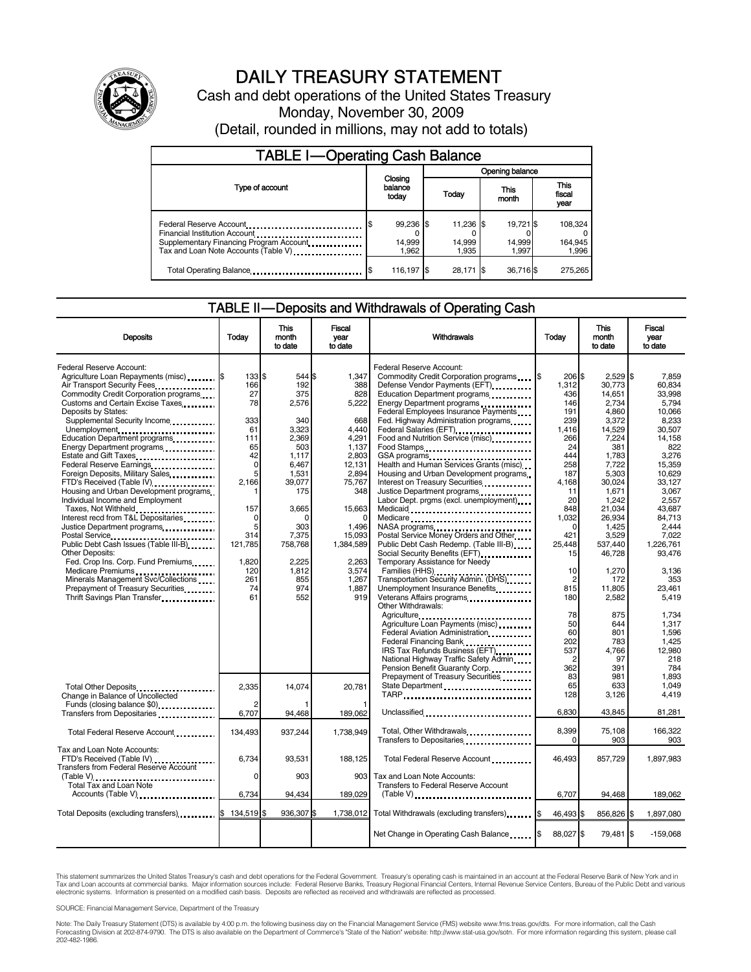

# DAILY TREASURY STATEMENT

Cash and debt operations of the United States Treasury Monday, November 30, 2009 (Detail, rounded in millions, may not add to totals)

| <b>TABLE I-Operating Cash Balance</b>                                                                                                       |                              |                              |                              |                             |  |  |
|---------------------------------------------------------------------------------------------------------------------------------------------|------------------------------|------------------------------|------------------------------|-----------------------------|--|--|
|                                                                                                                                             |                              | Opening balance              |                              |                             |  |  |
| Type of account                                                                                                                             | Closing<br>balance<br>today  | <b>Today</b>                 | This<br>month                | This<br>fiscal<br>year      |  |  |
| Federal Reserve Account<br>Financial Institution Account<br>Supplementary Financing Program Account<br>Tax and Loan Note Accounts (Table V) | 99,236 \$<br>14,999<br>1.962 | 11,236 \$<br>14,999<br>1.935 | 19.721 \$<br>14.999<br>1.997 | 108,324<br>164,945<br>1,996 |  |  |
| Total Operating Balance                                                                                                                     | 116,197 \$                   | 28.171 \$                    | 36,716\$                     | 275.265                     |  |  |

### TABLE II — Deposits and Withdrawals of Operating Cash

| <b>Deposits</b>                                                                                                                                                                                                                                                                                                                                                                                                                           | Todav                                                                                  | This<br>month<br>to date                                                                           | Fiscal<br>vear<br>to date                                                                            | Withdrawals                                                                                                                                                                                                                                                                                                                                                                                                                                                                                    | Today                                                                                             | This<br>month<br>to date                                                                                            | Fiscal<br>vear<br>to date                                                                                                      |
|-------------------------------------------------------------------------------------------------------------------------------------------------------------------------------------------------------------------------------------------------------------------------------------------------------------------------------------------------------------------------------------------------------------------------------------------|----------------------------------------------------------------------------------------|----------------------------------------------------------------------------------------------------|------------------------------------------------------------------------------------------------------|------------------------------------------------------------------------------------------------------------------------------------------------------------------------------------------------------------------------------------------------------------------------------------------------------------------------------------------------------------------------------------------------------------------------------------------------------------------------------------------------|---------------------------------------------------------------------------------------------------|---------------------------------------------------------------------------------------------------------------------|--------------------------------------------------------------------------------------------------------------------------------|
| Federal Reserve Account:<br>Agriculture Loan Repayments (misc) \$<br>Air Transport Security Fees<br>Commodity Credit Corporation programs<br>Customs and Certain Excise Taxes<br>Deposits by States:<br>Supplemental Security Income<br>Unemployment<br>Education Department programs<br>Energy Department programs<br>Estate and Gift Taxes<br>Federal Reserve Earnings<br>Foreign Deposits, Military Sales<br>FTD's Received (Table IV) | 133 \$<br>166<br>27<br>78<br>333<br>61<br>111<br>65<br>42<br>$\mathbf 0$<br>5<br>2.166 | 544 \$<br>192<br>375<br>2,576<br>340<br>3.323<br>2.369<br>503<br>1,117<br>6,467<br>1,531<br>39.077 | 1,347<br>388<br>828<br>5,222<br>668<br>4.440<br>4,291<br>1.137<br>2,803<br>12,131<br>2,894<br>75.767 | Federal Reserve Account:<br>Defense Vendor Payments (EFT)<br>Education Department programs<br>Energy Department programs<br>Federal Employees Insurance Payments<br>Fed. Highway Administration programs<br>Federal Salaries (EFT)<br>Food and Nutrition Service (misc)<br>Food Stamps<br>GSA programs<br>Health and Human Services Grants (misc)<br>Housing and Urban Development programs<br>Interest on Treasury Securities                                                                 | 206 \$<br>1,312<br>436<br>146<br>191<br>239<br>1.416<br>266<br>24<br>444<br>258<br>187<br>4.168   | 2,529<br>30.773<br>14.651<br>2,734<br>4,860<br>3,372<br>14,529<br>7,224<br>381<br>1,783<br>7,722<br>5,303<br>30.024 | Ι\$<br>7.859<br>60.834<br>33.998<br>5.794<br>10,066<br>8,233<br>30.507<br>14.158<br>822<br>3,276<br>15,359<br>10.629<br>33.127 |
| Housing and Urban Development programs<br>Individual Income and Employment<br>Taxes, Not Withheld<br>Interest recd from T&L Depositaries<br>Justice Department programs<br>Public Debt Cash Issues (Table III-B)<br><b>Other Deposits:</b><br>Fed. Crop Ins. Corp. Fund Premiums<br>Medicare Premiums<br>Minerals Management Svc/Collections<br>Prepayment of Treasury Securities.<br>Thrift Savings Plan Transfer                        | 1<br>157<br>0<br>5<br>314<br>121,785<br>1.820<br>120<br>261<br>74<br>61                | 175<br>3,665<br>ŋ<br>303<br>7,375<br>758,768<br>2.225<br>1.812<br>855<br>974<br>552                | 348<br>15,663<br>1,496<br>15,093<br>1,384,589<br>2.263<br>3,574<br>1,267<br>1,887<br>919             | Justice Department programs<br><br>Labor Dept. prgms (excl. unemployment)<br>Medicaid<br>Medicare<br>NASA programs<br>Postal Service Money Orders and Other<br>Public Debt Cash Redemp. (Table III-B)<br>Temporary Assistance for Needy<br>Families (HHS)<br>Transportation Security Admin. (DHS)<br>Unemployment Insurance Benefits<br>Veterans Affairs programs<br>Other Withdrawals:                                                                                                        | 11<br>20<br>848<br>1.032<br>$\Omega$<br>421<br>25,448<br>15<br>10<br>$\overline{2}$<br>815<br>180 | 1,671<br>1,242<br>21.034<br>26.934<br>1,425<br>3,529<br>537,440<br>46,728<br>1.270<br>172<br>11,805<br>2,582        | 3,067<br>2,557<br>43.687<br>84.713<br>2.444<br>7.022<br>1,226,761<br>93,476<br>3.136<br>353<br>23,461<br>5,419                 |
|                                                                                                                                                                                                                                                                                                                                                                                                                                           |                                                                                        |                                                                                                    |                                                                                                      | Agriculture<br>Agriculture Loan Payments (misc)<br>Federal Aviation Administration<br>Federal Financing Bank<br>1991 - Papa Bank<br>1992 - Papa Bank<br>1993 - Papa Bank<br>1993 - Papa Bank<br>1993 - Papa Bank<br>1994 - Papa Bank<br>1994 - Papa Bank<br>1995 - Papa Bank<br>1995 - Papa Bank<br>1995 - Papa Bank<br>1995 - Papa Bank<br><br>IRS Tax Refunds Business (EFT)<br>National Highway Traffic Safety Admin<br>Pension Benefit Guaranty Corp.<br>Prepayment of Treasury Securities | 78<br>50<br>60<br>202<br>537<br>$\overline{2}$<br>362<br>83                                       | 875<br>644<br>801<br>783<br>4.766<br>97<br>391<br>981                                                               | 1,734<br>1.317<br>1,596<br>1.425<br>12.980<br>218<br>784<br>1.893                                                              |
| Total Other Deposits<br>Change in Balance of Uncollected<br>Funds (closing balance \$0)                                                                                                                                                                                                                                                                                                                                                   | 2.335<br>$\overline{2}$<br>6,707                                                       | 14.074<br>94,468                                                                                   | 20.781<br>189,062                                                                                    | State Department<br>TARP<br>Unclassified                                                                                                                                                                                                                                                                                                                                                                                                                                                       | 65<br>128<br>6.830                                                                                | 633<br>3,126<br>43,845                                                                                              | 1.049<br>4,419<br>81,281                                                                                                       |
| Total Federal Reserve Account                                                                                                                                                                                                                                                                                                                                                                                                             | 134,493                                                                                | 937,244                                                                                            | 1.738.949                                                                                            | Total, Other Withdrawals<br>Transfers to Depositaries                                                                                                                                                                                                                                                                                                                                                                                                                                          | 8,399<br>0                                                                                        | 75.108<br>903                                                                                                       | 166.322<br>903                                                                                                                 |
| Tax and Loan Note Accounts:<br>FTD's Received (Table IV)<br><b>Transfers from Federal Reserve Account</b><br>$(Table V)$<br>Total Tax and Loan Note                                                                                                                                                                                                                                                                                       | 6,734<br>$\Omega$                                                                      | 93,531<br>903                                                                                      | 188,125<br>903                                                                                       | Total Federal Reserve Account<br>Tax and Loan Note Accounts:<br><b>Transfers to Federal Reserve Account</b>                                                                                                                                                                                                                                                                                                                                                                                    | 46,493                                                                                            | 857,729                                                                                                             | 1,897,983                                                                                                                      |
| Accounts (Table V)                                                                                                                                                                                                                                                                                                                                                                                                                        | 6,734                                                                                  | 94,434                                                                                             | 189,029                                                                                              |                                                                                                                                                                                                                                                                                                                                                                                                                                                                                                | 6,707                                                                                             | 94,468                                                                                                              | 189,062                                                                                                                        |
| Total Deposits (excluding transfers) 5                                                                                                                                                                                                                                                                                                                                                                                                    | 134.519 \$                                                                             | 936,307 \$                                                                                         | 1,738,012                                                                                            | Total Withdrawals (excluding transfers) [\$                                                                                                                                                                                                                                                                                                                                                                                                                                                    | 46,493 \$                                                                                         | 856,826 \$                                                                                                          | 1,897,080                                                                                                                      |
|                                                                                                                                                                                                                                                                                                                                                                                                                                           |                                                                                        |                                                                                                    |                                                                                                      | Net Change in Operating Cash Balance                                                                                                                                                                                                                                                                                                                                                                                                                                                           | 88.027 \$                                                                                         | 79,481 \$                                                                                                           | $-159.068$                                                                                                                     |

This statement summarizes the United States Treasury's cash and debt operations for the Federal Government. Treasury's operating cash is maintained in an account at the Federal Reserve Bank of New York and in<br>Tax and Loan

SOURCE: Financial Management Service, Department of the Treasury

Note: The Daily Treasury Statement (DTS) is available by 4:00 p.m. the following business day on the Financial Management Service (FMS) website www.fms.treas.gov/dts. For more information, call the Cash<br>Forecasting Divisio